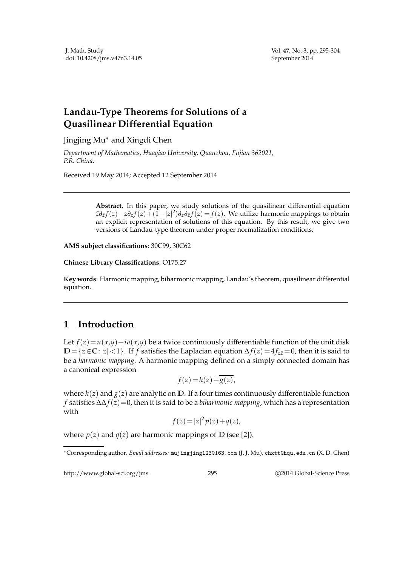## **Landau-Type Theorems for Solutions of a Quasilinear Differential Equation**

Jingjing Mu∗ and Xingdi Chen

*Department of Mathematics, Huaqiao University, Quanzhou, Fujian 362021, P.R. China.*

Received 19 May 2014; Accepted 12 September 2014

**Abstract.** In this paper, we study solutions of the quasilinear differential equation  $z\partial_z f(z) + z\partial_z f(z) + (1-|z|^2)\partial_z \partial_{\bar{z}} f(z) = f(z)$ . We utilize harmonic mappings to obtain an explicit representation of solutions of this equation. By this result, we give two versions of Landau-type theorem under proper normalization conditions.

**AMS subject classifications**: 30C99, 30C62

**Chinese Library Classifications**: O175.27

**Key words**: Harmonic mapping, biharmonic mapping, Landau's theorem, quasilinear differential equation.

## **1 Introduction**

Let  $f(z) = u(x,y) + iv(x,y)$  be a twice continuously differentiable function of the unit disk  $D=\{z \in \mathbb{C}: |z| < 1\}$ . If *f* satisfies the Laplacian equation  $\Delta f(z) = 4f_{z\bar{z}} = 0$ , then it is said to be a *harmonic mapping*. A harmonic mapping defined on a simply connected domain has a canonical expression

$$
f(z) = h(z) + \overline{g(z)},
$$

where  $h(z)$  and  $g(z)$  are analytic on  $D$ . If a four times continuously differentiable function *f* satisfies ∆∆*f*(*z*)=0, then it is said to be a *biharmonic mapping*, which has a representation with

$$
f(z) = |z|^2 p(z) + q(z),
$$

where  $p(z)$  and  $q(z)$  are harmonic mappings of  $D$  (see [2]).

http://www.global-sci.org/jms 295 
2014 Global-Science Press

<sup>∗</sup>Corresponding author. *Email addresses:* mujingjing123@163.com (J. J. Mu), chxtt@hqu.edu.cn (X. D. Chen)